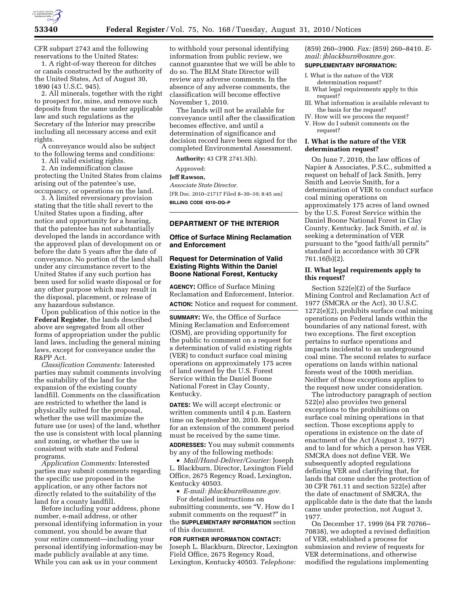

CFR subpart 2743 and the following reservations to the United States:

1. A right-of-way thereon for ditches or canals constructed by the authority of the United States, Act of August 30, 1890 (43 U.S.C. 945).

2. All minerals, together with the right to prospect for, mine, and remove such deposits from the same under applicable law and such regulations as the Secretary of the Interior may prescribe including all necessary access and exit rights.

A conveyance would also be subject to the following terms and conditions:

1. All valid existing rights.

2. An indemnification clause protecting the United States from claims arising out of the patentee's use, occupancy, or operations on the land.

3. A limited reversionary provision stating that the title shall revert to the United States upon a finding, after notice and opportunity for a hearing, that the patentee has not substantially developed the lands in accordance with the approved plan of development on or before the date 5 years after the date of conveyance. No portion of the land shall under any circumstance revert to the United States if any such portion has been used for solid waste disposal or for any other purpose which may result in the disposal, placement, or release of any hazardous substance.

Upon publication of this notice in the **Federal Register**, the lands described above are segregated from all other forms of appropriation under the public land laws, including the general mining laws, except for conveyance under the R&PP Act.

*Classification Comments:* Interested parties may submit comments involving the suitability of the land for the expansion of the existing county landfill. Comments on the classification are restricted to whether the land is physically suited for the proposal, whether the use will maximize the future use (or uses) of the land, whether the use is consistent with local planning and zoning, or whether the use is consistent with state and Federal programs.

*Application Comments:* Interested parties may submit comments regarding the specific use proposed in the application, or any other factors not directly related to the suitability of the land for a county landfill.

Before including your address, phone number, e-mail address, or other personal identifying information in your comment, you should be aware that your entire comment—including your personal identifying information-may be made publicly available at any time. While you can ask us in your comment

to withhold your personal identifying information from public review, we cannot guarantee that we will be able to do so. The BLM State Director will review any adverse comments. In the absence of any adverse comments, the classification will become effective November 1, 2010.

The lands will not be available for conveyance until after the classification becomes effective, and until a determination of significance and decision record have been signed for the completed Environmental Assessment.

**Authority:** 43 CFR 2741.5(h).

Approved:

#### **Jeff Rawson,**

*Associate State Director.*  [FR Doc. 2010–21717 Filed 8–30–10; 8:45 am] **BILLING CODE 4310–DQ–P** 

### **DEPARTMENT OF THE INTERIOR**

#### **Office of Surface Mining Reclamation and Enforcement**

#### **Request for Determination of Valid Existing Rights Within the Daniel Boone National Forest, Kentucky**

**AGENCY:** Office of Surface Mining Reclamation and Enforcement, Interior. **ACTION:** Notice and request for comment.

**SUMMARY:** We, the Office of Surface Mining Reclamation and Enforcement (OSM), are providing opportunity for the public to comment on a request for a determination of valid existing rights (VER) to conduct surface coal mining operations on approximately 175 acres of land owned by the U.S. Forest Service within the Daniel Boone National Forest in Clay County, Kentucky.

**DATES:** We will accept electronic or written comments until 4 p.m. Eastern time on September 30, 2010. Requests for an extension of the comment period must be received by the same time.

**ADDRESSES:** You may submit comments by any of the following methods:

• *Mail/Hand-Deliver/Courier:* Joseph L. Blackburn, Director, Lexington Field Office, 2675 Regency Road, Lexington, Kentucky 40503.

• *E-mail: [jblackburn@osmre.gov.](mailto:jblackburn@osmre.gov)* 

For detailed instructions on submitting comments, see ''V. How do I submit comments on the request?" in the **SUPPLEMENTARY INFORMATION** section of this document.

#### **FOR FURTHER INFORMATION CONTACT:**

Joseph L. Blackburn, Director, Lexington Field Office, 2675 Regency Road, Lexington, Kentucky 40503. *Telephone:* 

(859) 260–3900. *Fax:* (859) 260–8410. *Email: [jblackburn@osmre.gov.](mailto:jblackburn@osmre.gov)* 

# **SUPPLEMENTARY INFORMATION:**

- I. What is the nature of the VER determination request?
- II. What legal requirements apply to this request?
- III. What information is available relevant to the basis for the request?
- IV. How will we process the request?
- V. How do I submit comments on the request?

### **I. What is the nature of the VER determination request?**

On June 7, 2010, the law offices of Napier & Associates, P.S.C., submitted a request on behalf of Jack Smith, Jerry Smith and Leovie Smith, for a determination of VER to conduct surface coal mining operations on approximately 175 acres of land owned by the U.S. Forest Service within the Daniel Boone National Forest in Clay County, Kentucky. Jack Smith, *et al.* is seeking a determination of VER pursuant to the "good faith/all permits" standard in accordance with 30 CFR 761.16(b)(2).

### **II. What legal requirements apply to this request?**

Section 522(e)(2) of the Surface Mining Control and Reclamation Act of 1977 (SMCRA or the Act), 30 U.S.C. 1272(e)(2), prohibits surface coal mining operations on Federal lands within the boundaries of any national forest, with two exceptions. The first exception pertains to surface operations and impacts incidental to an underground coal mine. The second relates to surface operations on lands within national forests west of the 100th meridian. Neither of those exceptions applies to the request now under consideration.

The introductory paragraph of section 522(e) also provides two general exceptions to the prohibitions on surface coal mining operations in that section. Those exceptions apply to operations in existence on the date of enactment of the Act (August 3, 1977) and to land for which a person has VER. SMCRA does not define VER. We subsequently adopted regulations defining VER and clarifying that, for lands that come under the protection of 30 CFR 761.11 and section 522(e) after the date of enactment of SMCRA, the applicable date is the date that the lands came under protection, not August 3, 1977.

On December 17, 1999 (64 FR 70766– 70838), we adopted a revised definition of VER, established a process for submission and review of requests for VER determinations, and otherwise modified the regulations implementing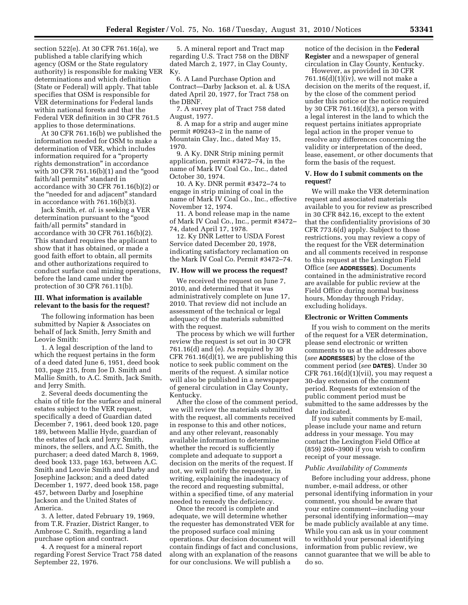section 522(e). At 30 CFR 761.16(a), we published a table clarifying which agency (OSM or the State regulatory authority) is responsible for making VER determinations and which definition (State or Federal) will apply. That table specifies that OSM is responsible for VER determinations for Federal lands within national forests and that the Federal VER definition in 30 CFR 761.5 applies to those determinations.

At 30 CFR 761.16(b) we published the information needed for OSM to make a determination of VER, which includes information required for a ''property rights demonstration'' in accordance with 30 CFR 761.16 $(b)(1)$  and the "good faith/all permits'' standard in accordance with 30 CFR 761.16(b)(2) or the ''needed for and adjacent'' standard in accordance with 761.16(b)(3).

Jack Smith, *et. al.* is seeking a VER determination pursuant to the ''good faith/all permits'' standard in accordance with 30 CFR 761.16(b)(2). This standard requires the applicant to show that it has obtained, or made a good faith effort to obtain, all permits and other authorizations required to conduct surface coal mining operations, before the land came under the protection of 30 CFR 761.11(b).

### **III. What information is available relevant to the basis for the request?**

The following information has been submitted by Napier & Associates on behalf of Jack Smith, Jerry Smith and Leovie Smith:

1. A legal description of the land to which the request pertains in the form of a deed dated June 6, 1951, deed book 103, page 215, from Joe D. Smith and Mallie Smith, to A.C. Smith, Jack Smith, and Jerry Smith.

2. Several deeds documenting the chain of title for the surface and mineral estates subject to the VER request, specifically a deed of Guardian dated December 7, 1961, deed book 120, page 189, between Mallie Hyde, guardian of the estates of Jack and Jerry Smith, minors, the sellers, and A.C. Smith, the purchaser; a deed dated March 8, 1969, deed book 133, page 163, between A.C. Smith and Leovie Smith and Darby and Josephine Jackson; and a deed dated December 1, 1977, deed book 158, page 457, between Darby and Josephine Jackson and the United States of America.

3. A letter, dated February 19, 1969, from T.R. Frazier, District Ranger, to Ambrose C. Smith, regarding a land purchase option and contract.

4. A request for a mineral report regarding Forest Service Tract 758 dated September 22, 1976.

5. A mineral report and Tract map regarding U.S. Tract 758 on the DBNF dated March 2, 1977, in Clay County, Ky.

6. A Land Purchase Option and Contract—Darby Jackson et. al. & USA dated April 20, 1977, for Tract 758 on the DBNF.

7. A survey plat of Tract 758 dated August, 1977.

8. A map for a strip and auger mine permit #09243–2 in the name of Mountain Clay, Inc., dated May 15, 1970.

9. A Ky. DNR Strip mining permit application, permit #3472–74, in the name of Mark IV Coal Co., Inc., dated October 30, 1974.

10. A Ky. DNR permit #3472–74 to engage in strip mining of coal in the name of Mark IV Coal Co., Inc., effective November 12, 1974.

11. A bond release map in the name of Mark IV Coal Co., Inc., permit #3472– 74, dated April 17, 1978.

12. Ky DNR Letter to USDA Forest Service dated December 20, 1978, indicating satisfactory reclamation on the Mark IV Coal Co. Permit #3472–74.

#### **IV. How will we process the request?**

We received the request on June 7, 2010, and determined that it was administratively complete on June 17, 2010. That review did not include an assessment of the technical or legal adequacy of the materials submitted with the request.

The process by which we will further review the request is set out in 30 CFR 761.16(d) and (e). As required by 30 CFR  $761.16(d)(1)$ , we are publishing this notice to seek public comment on the merits of the request. A similar notice will also be published in a newspaper of general circulation in Clay County, Kentucky.

After the close of the comment period, we will review the materials submitted with the request, all comments received in response to this and other notices, and any other relevant, reasonably available information to determine whether the record is sufficiently complete and adequate to support a decision on the merits of the request. If not, we will notify the requester, in writing, explaining the inadequacy of the record and requesting submittal, within a specified time, of any material needed to remedy the deficiency.

Once the record is complete and adequate, we will determine whether the requester has demonstrated VER for the proposed surface coal mining operations. Our decision document will contain findings of fact and conclusions, along with an explanation of the reasons for our conclusions. We will publish a

notice of the decision in the **Federal Register** and a newspaper of general circulation in Clay County, Kentucky.

However, as provided in 30 CFR 761.16 $(d)(1)(iv)$ , we will not make a decision on the merits of the request, if, by the close of the comment period under this notice or the notice required by 30 CFR 761.16(d)(3), a person with a legal interest in the land to which the request pertains initiates appropriate legal action in the proper venue to resolve any differences concerning the validity or interpretation of the deed, lease, easement, or other documents that form the basis of the request.

## **V. How do I submit comments on the request?**

We will make the VER determination request and associated materials available to you for review as prescribed in 30 CFR 842.16, except to the extent that the confidentiality provisions of 30 CFR 773.6(d) apply. Subject to those restrictions, you may review a copy of the request for the VER determination and all comments received in response to this request at the Lexington Field Office (*see* **ADDRESSES**). Documents contained in the administrative record are available for public review at the Field Office during normal business hours, Monday through Friday, excluding holidays.

#### **Electronic or Written Comments**

If you wish to comment on the merits of the request for a VER determination, please send electronic or written comments to us at the addresses above (*see* **ADDRESSES**) by the close of the comment period (*see* **DATES**). Under 30 CFR 761.16(d)(1)(vii), you may request a 30-day extension of the comment period. Requests for extension of the public comment period must be submitted to the same addresses by the date indicated.

If you submit comments by E-mail, please include your name and return address in your message. You may contact the Lexington Field Office at (859) 260–3900 if you wish to confirm receipt of your message.

#### *Public Availability of Comments*

Before including your address, phone number, e-mail address, or other personal identifying information in your comment, you should be aware that your entire comment—including your personal identifying information—may be made publicly available at any time. While you can ask us in your comment to withhold your personal identifying information from public review, we cannot guarantee that we will be able to do so.